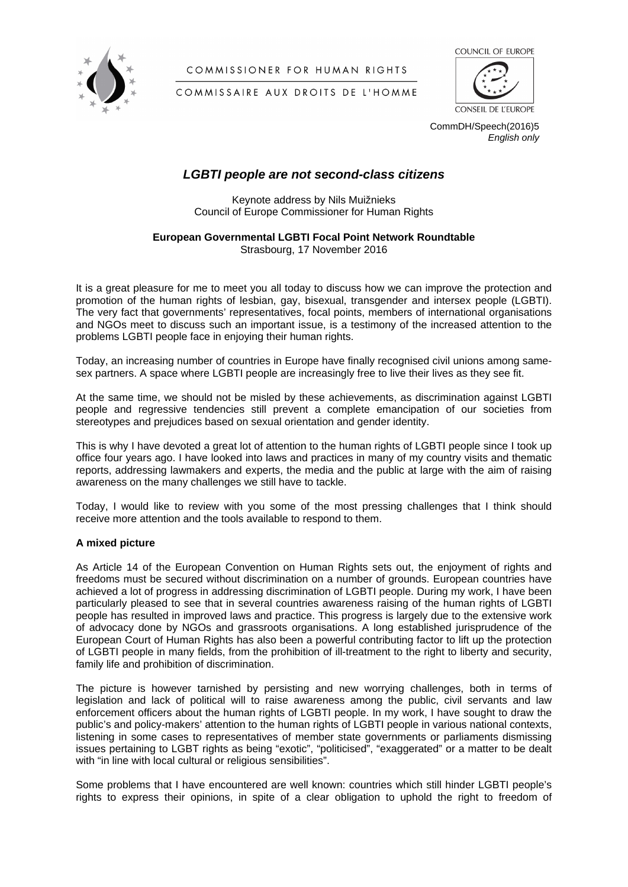

COMMISSIONER FOR HUMAN RIGHTS



CONSEIL DE L'EUROPE

COMMISSAIRE AUX DROITS DE L'HOMME

CommDH/Speech(2016)5 *English only*

## *LGBTI people are not second-class citizens*

Keynote address by Nils Muižnieks Council of Europe Commissioner for Human Rights

# **European Governmental LGBTI Focal Point Network Roundtable**

Strasbourg, 17 November 2016

It is a great pleasure for me to meet you all today to discuss how we can improve the protection and promotion of the human rights of lesbian, gay, bisexual, transgender and intersex people (LGBTI). The very fact that governments' representatives, focal points, members of international organisations and NGOs meet to discuss such an important issue, is a testimony of the increased attention to the problems LGBTI people face in enjoying their human rights.

Today, an increasing number of countries in Europe have finally recognised civil unions among samesex partners. A space where LGBTI people are increasingly free to live their lives as they see fit.

At the same time, we should not be misled by these achievements, as discrimination against LGBTI people and regressive tendencies still prevent a complete emancipation of our societies from stereotypes and prejudices based on sexual orientation and gender identity.

This is why I have devoted a great lot of attention to the human rights of LGBTI people since I took up office four years ago. I have looked into laws and practices in many of my country visits and thematic reports, addressing lawmakers and experts, the media and the public at large with the aim of raising awareness on the many challenges we still have to tackle.

Today, I would like to review with you some of the most pressing challenges that I think should receive more attention and the tools available to respond to them.

## **A mixed picture**

As Article 14 of the European Convention on Human Rights sets out, the enjoyment of rights and freedoms must be secured without discrimination on a number of grounds. European countries have achieved a lot of progress in addressing discrimination of LGBTI people. During my work, I have been particularly pleased to see that in several countries awareness raising of the human rights of LGBTI people has resulted in improved laws and practice. This progress is largely due to the extensive work of advocacy done by NGOs and grassroots organisations. A long established jurisprudence of the European Court of Human Rights has also been a powerful contributing factor to lift up the protection of LGBTI people in many fields, from the prohibition of ill-treatment to the right to liberty and security, family life and prohibition of discrimination.

The picture is however tarnished by persisting and new worrying challenges, both in terms of legislation and lack of political will to raise awareness among the public, civil servants and law enforcement officers about the human rights of LGBTI people. In my work, I have sought to draw the public's and policy-makers' attention to the human rights of LGBTI people in various national contexts, listening in some cases to representatives of member state governments or parliaments dismissing issues pertaining to LGBT rights as being "exotic", "politicised", "exaggerated" or a matter to be dealt with "in line with local cultural or religious sensibilities".

Some problems that I have encountered are well known: countries which still hinder LGBTI people's rights to express their opinions, in spite of a clear obligation to uphold the right to freedom of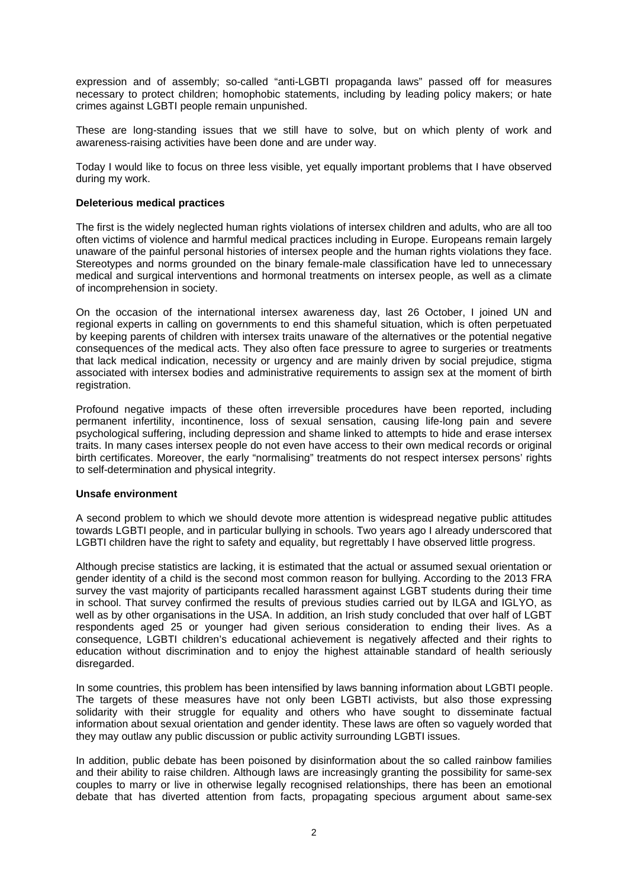expression and of assembly; so-called "anti-LGBTI propaganda laws" passed off for measures necessary to protect children; homophobic statements, including by leading policy makers; or hate crimes against LGBTI people remain unpunished.

These are long-standing issues that we still have to solve, but on which plenty of work and awareness-raising activities have been done and are under way.

Today I would like to focus on three less visible, yet equally important problems that I have observed during my work.

#### **Deleterious medical practices**

The first is the widely neglected human rights violations of intersex children and adults, who are all too often victims of violence and harmful medical practices including in Europe. Europeans remain largely unaware of the painful personal histories of intersex people and the human rights violations they face. Stereotypes and norms grounded on the binary female-male classification have led to unnecessary medical and surgical interventions and hormonal treatments on intersex people, as well as a climate of incomprehension in society.

On the occasion of the international intersex awareness day, last 26 October, I joined UN and regional experts in calling on governments to end this shameful situation, which is often perpetuated by keeping parents of children with intersex traits unaware of the alternatives or the potential negative consequences of the medical acts. They also often face pressure to agree to surgeries or treatments that lack medical indication, necessity or urgency and are mainly driven by social prejudice, stigma associated with intersex bodies and administrative requirements to assign sex at the moment of birth registration.

Profound negative impacts of these often irreversible procedures have been reported, including permanent infertility, incontinence, loss of sexual sensation, causing life-long pain and severe psychological suffering, including depression and shame linked to attempts to hide and erase intersex traits. In many cases intersex people do not even have access to their own medical records or original birth certificates. Moreover, the early "normalising" treatments do not respect intersex persons' rights to self-determination and physical integrity.

#### **Unsafe environment**

A second problem to which we should devote more attention is widespread negative public attitudes towards LGBTI people, and in particular bullying in schools. Two years ago I already underscored that LGBTI children have the right to safety and equality, but regrettably I have observed little progress.

Although precise statistics are lacking, it is estimated that the actual or assumed sexual orientation or gender identity of a child is the second most common reason for bullying. According to the 2013 FRA survey the vast majority of participants recalled harassment against LGBT students during their time in school. That survey confirmed the results of previous studies carried out by ILGA and IGLYO, as well as by other organisations in the USA. In addition, an Irish study concluded that over half of LGBT respondents aged 25 or younger had given serious consideration to ending their lives. As a consequence, LGBTI children's educational achievement is negatively affected and their rights to education without discrimination and to enjoy the highest attainable standard of health seriously disregarded.

In some countries, this problem has been intensified by laws banning information about LGBTI people. The targets of these measures have not only been LGBTI activists, but also those expressing solidarity with their struggle for equality and others who have sought to disseminate factual information about sexual orientation and gender identity. These laws are often so vaguely worded that they may outlaw any public discussion or public activity surrounding LGBTI issues.

In addition, public debate has been poisoned by disinformation about the so called rainbow families and their ability to raise children. Although laws are increasingly granting the possibility for same-sex couples to marry or live in otherwise legally recognised relationships, there has been an emotional debate that has diverted attention from facts, propagating specious argument about same-sex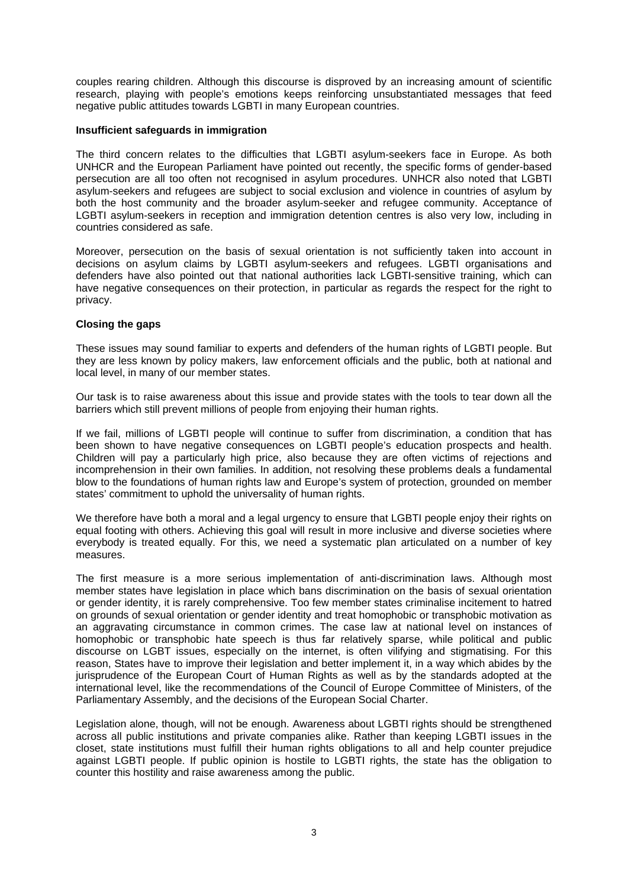couples rearing children. Although this discourse is disproved by an increasing amount of scientific research, playing with people's emotions keeps reinforcing unsubstantiated messages that feed negative public attitudes towards LGBTI in many European countries.

### **Insufficient safeguards in immigration**

The third concern relates to the difficulties that LGBTI asylum-seekers face in Europe. As both UNHCR and the European Parliament have pointed out recently, the specific forms of gender-based persecution are all too often not recognised in asylum procedures. UNHCR also noted that LGBTI asylum-seekers and refugees are subject to social exclusion and violence in countries of asylum by both the host community and the broader asylum-seeker and refugee community. Acceptance of LGBTI asylum-seekers in reception and immigration detention centres is also very low, including in countries considered as safe.

Moreover, persecution on the basis of sexual orientation is not sufficiently taken into account in decisions on asylum claims by LGBTI asylum-seekers and refugees. LGBTI organisations and defenders have also pointed out that national authorities lack LGBTI-sensitive training, which can have negative consequences on their protection, in particular as regards the respect for the right to privacy.

## **Closing the gaps**

These issues may sound familiar to experts and defenders of the human rights of LGBTI people. But they are less known by policy makers, law enforcement officials and the public, both at national and local level, in many of our member states.

Our task is to raise awareness about this issue and provide states with the tools to tear down all the barriers which still prevent millions of people from enjoying their human rights.

If we fail, millions of LGBTI people will continue to suffer from discrimination, a condition that has been shown to have negative consequences on LGBTI people's education prospects and health. Children will pay a particularly high price, also because they are often victims of rejections and incomprehension in their own families. In addition, not resolving these problems deals a fundamental blow to the foundations of human rights law and Europe's system of protection, grounded on member states' commitment to uphold the universality of human rights.

We therefore have both a moral and a legal urgency to ensure that LGBTI people enjoy their rights on equal footing with others. Achieving this goal will result in more inclusive and diverse societies where everybody is treated equally. For this, we need a systematic plan articulated on a number of key measures.

The first measure is a more serious implementation of anti-discrimination laws. Although most member states have legislation in place which bans discrimination on the basis of sexual orientation or gender identity, it is rarely comprehensive. Too few member states criminalise incitement to hatred on grounds of sexual orientation or gender identity and treat homophobic or transphobic motivation as an aggravating circumstance in common crimes. The case law at national level on instances of homophobic or transphobic hate speech is thus far relatively sparse, while political and public discourse on LGBT issues, especially on the internet, is often vilifying and stigmatising. For this reason, States have to improve their legislation and better implement it, in a way which abides by the jurisprudence of the European Court of Human Rights as well as by the standards adopted at the international level, like the recommendations of the Council of Europe Committee of Ministers, of the Parliamentary Assembly, and the decisions of the European Social Charter.

Legislation alone, though, will not be enough. Awareness about LGBTI rights should be strengthened across all public institutions and private companies alike. Rather than keeping LGBTI issues in the closet, state institutions must fulfill their human rights obligations to all and help counter prejudice against LGBTI people. If public opinion is hostile to LGBTI rights, the state has the obligation to counter this hostility and raise awareness among the public.